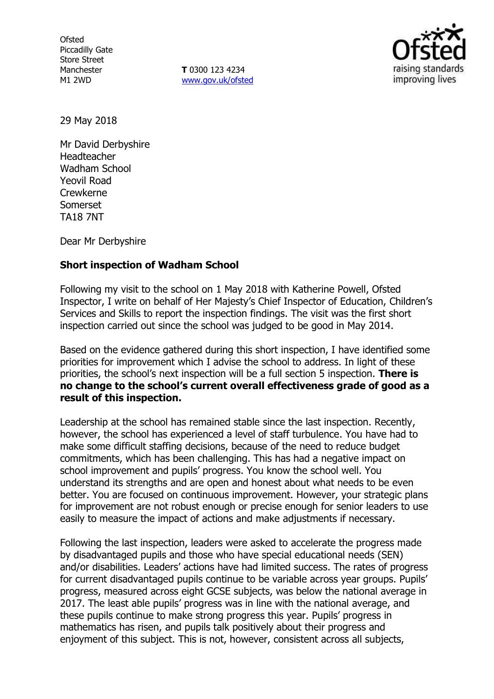**Ofsted** Piccadilly Gate Store Street Manchester M1 2WD

**T** 0300 123 4234 www.gov.uk/ofsted



29 May 2018

Mr David Derbyshire Headteacher Wadham School Yeovil Road Crewkerne Somerset TA18 7NT

Dear Mr Derbyshire

#### **Short inspection of Wadham School**

Following my visit to the school on 1 May 2018 with Katherine Powell, Ofsted Inspector, I write on behalf of Her Majesty's Chief Inspector of Education, Children's Services and Skills to report the inspection findings. The visit was the first short inspection carried out since the school was judged to be good in May 2014.

Based on the evidence gathered during this short inspection, I have identified some priorities for improvement which I advise the school to address. In light of these priorities, the school's next inspection will be a full section 5 inspection. **There is no change to the school's current overall effectiveness grade of good as a result of this inspection.**

Leadership at the school has remained stable since the last inspection. Recently, however, the school has experienced a level of staff turbulence. You have had to make some difficult staffing decisions, because of the need to reduce budget commitments, which has been challenging. This has had a negative impact on school improvement and pupils' progress. You know the school well. You understand its strengths and are open and honest about what needs to be even better. You are focused on continuous improvement. However, your strategic plans for improvement are not robust enough or precise enough for senior leaders to use easily to measure the impact of actions and make adjustments if necessary.

Following the last inspection, leaders were asked to accelerate the progress made by disadvantaged pupils and those who have special educational needs (SEN) and/or disabilities. Leaders' actions have had limited success. The rates of progress for current disadvantaged pupils continue to be variable across year groups. Pupils' progress, measured across eight GCSE subjects, was below the national average in 2017. The least able pupils' progress was in line with the national average, and these pupils continue to make strong progress this year. Pupils' progress in mathematics has risen, and pupils talk positively about their progress and enjoyment of this subject. This is not, however, consistent across all subjects,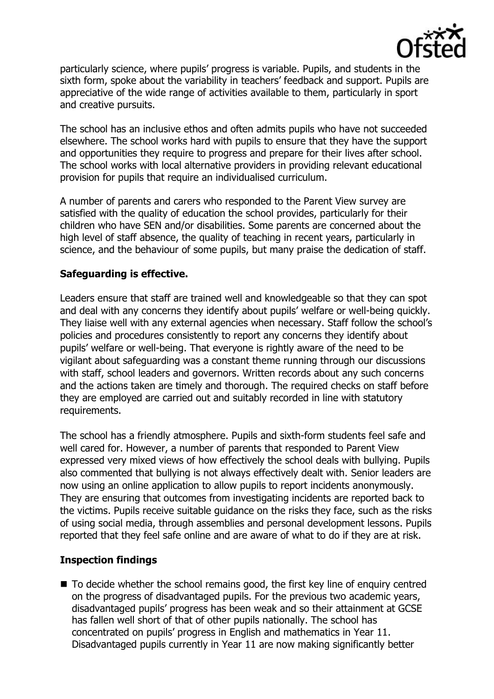

particularly science, where pupils' progress is variable. Pupils, and students in the sixth form, spoke about the variability in teachers' feedback and support. Pupils are appreciative of the wide range of activities available to them, particularly in sport and creative pursuits.

The school has an inclusive ethos and often admits pupils who have not succeeded elsewhere. The school works hard with pupils to ensure that they have the support and opportunities they require to progress and prepare for their lives after school. The school works with local alternative providers in providing relevant educational provision for pupils that require an individualised curriculum.

A number of parents and carers who responded to the Parent View survey are satisfied with the quality of education the school provides, particularly for their children who have SEN and/or disabilities. Some parents are concerned about the high level of staff absence, the quality of teaching in recent years, particularly in science, and the behaviour of some pupils, but many praise the dedication of staff.

### **Safeguarding is effective.**

Leaders ensure that staff are trained well and knowledgeable so that they can spot and deal with any concerns they identify about pupils' welfare or well-being quickly. They liaise well with any external agencies when necessary. Staff follow the school's policies and procedures consistently to report any concerns they identify about pupils' welfare or well-being. That everyone is rightly aware of the need to be vigilant about safeguarding was a constant theme running through our discussions with staff, school leaders and governors. Written records about any such concerns and the actions taken are timely and thorough. The required checks on staff before they are employed are carried out and suitably recorded in line with statutory requirements.

The school has a friendly atmosphere. Pupils and sixth-form students feel safe and well cared for. However, a number of parents that responded to Parent View expressed very mixed views of how effectively the school deals with bullying. Pupils also commented that bullying is not always effectively dealt with. Senior leaders are now using an online application to allow pupils to report incidents anonymously. They are ensuring that outcomes from investigating incidents are reported back to the victims. Pupils receive suitable guidance on the risks they face, such as the risks of using social media, through assemblies and personal development lessons. Pupils reported that they feel safe online and are aware of what to do if they are at risk.

# **Inspection findings**

■ To decide whether the school remains good, the first key line of enquiry centred on the progress of disadvantaged pupils. For the previous two academic years, disadvantaged pupils' progress has been weak and so their attainment at GCSE has fallen well short of that of other pupils nationally. The school has concentrated on pupils' progress in English and mathematics in Year 11. Disadvantaged pupils currently in Year 11 are now making significantly better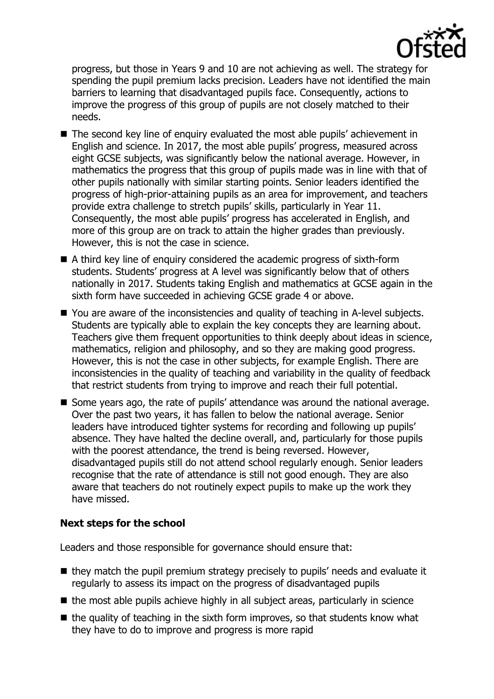

progress, but those in Years 9 and 10 are not achieving as well. The strategy for spending the pupil premium lacks precision. Leaders have not identified the main barriers to learning that disadvantaged pupils face. Consequently, actions to improve the progress of this group of pupils are not closely matched to their needs.

- The second key line of enquiry evaluated the most able pupils' achievement in English and science. In 2017, the most able pupils' progress, measured across eight GCSE subjects, was significantly below the national average. However, in mathematics the progress that this group of pupils made was in line with that of other pupils nationally with similar starting points. Senior leaders identified the progress of high-prior-attaining pupils as an area for improvement, and teachers provide extra challenge to stretch pupils' skills, particularly in Year 11. Consequently, the most able pupils' progress has accelerated in English, and more of this group are on track to attain the higher grades than previously. However, this is not the case in science.
- A third key line of enquiry considered the academic progress of sixth-form students. Students' progress at A level was significantly below that of others nationally in 2017. Students taking English and mathematics at GCSE again in the sixth form have succeeded in achieving GCSE grade 4 or above.
- You are aware of the inconsistencies and quality of teaching in A-level subjects. Students are typically able to explain the key concepts they are learning about. Teachers give them frequent opportunities to think deeply about ideas in science, mathematics, religion and philosophy, and so they are making good progress. However, this is not the case in other subjects, for example English. There are inconsistencies in the quality of teaching and variability in the quality of feedback that restrict students from trying to improve and reach their full potential.
- Some years ago, the rate of pupils' attendance was around the national average. Over the past two years, it has fallen to below the national average. Senior leaders have introduced tighter systems for recording and following up pupils' absence. They have halted the decline overall, and, particularly for those pupils with the poorest attendance, the trend is being reversed. However, disadvantaged pupils still do not attend school regularly enough. Senior leaders recognise that the rate of attendance is still not good enough. They are also aware that teachers do not routinely expect pupils to make up the work they have missed.

# **Next steps for the school**

Leaders and those responsible for governance should ensure that:

- they match the pupil premium strategy precisely to pupils' needs and evaluate it regularly to assess its impact on the progress of disadvantaged pupils
- $\blacksquare$  the most able pupils achieve highly in all subject areas, particularly in science
- $\blacksquare$  the quality of teaching in the sixth form improves, so that students know what they have to do to improve and progress is more rapid